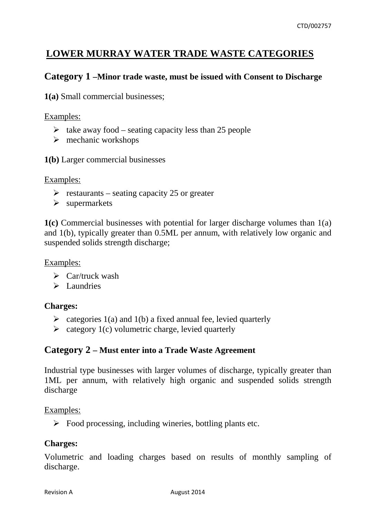# **LOWER MURRAY WATER TRADE WASTE CATEGORIES**

## **Category 1 –Minor trade waste, must be issued with Consent to Discharge**

**1(a)** Small commercial businesses;

### Examples:

- $\triangleright$  take away food seating capacity less than 25 people
- $\triangleright$  mechanic workshops
- **1(b)** Larger commercial businesses

Examples:

- $\triangleright$  restaurants seating capacity 25 or greater
- $\triangleright$  supermarkets

**1(c)** Commercial businesses with potential for larger discharge volumes than 1(a) and 1(b), typically greater than 0.5ML per annum, with relatively low organic and suspended solids strength discharge;

Examples:

- $\triangleright$  Car/truck wash
- $\triangleright$  Laundries

### **Charges:**

- $\triangleright$  categories 1(a) and 1(b) a fixed annual fee, levied quarterly
- $\triangleright$  category 1(c) volumetric charge, levied quarterly

## **Category 2 – Must enter into a Trade Waste Agreement**

Industrial type businesses with larger volumes of discharge, typically greater than 1ML per annum, with relatively high organic and suspended solids strength discharge

Examples:

 $\triangleright$  Food processing, including wineries, bottling plants etc.

### **Charges:**

Volumetric and loading charges based on results of monthly sampling of discharge.